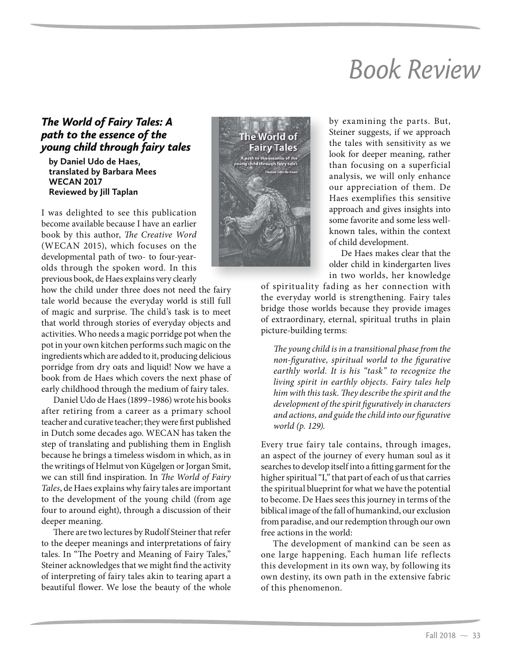## Book Review

## *The World of Fairy Tales: A path to the essence of the young child through fairy tales*

**by Daniel Udo de Haes, translated by Barbara Mees WECAN 2017 Reviewed by Jill Taplan**

I was delighted to see this publication become available because I have an earlier book by this author, The Creative Word (WECAN 2015), which focuses on the developmental path of two- to four-yearolds through the spoken word. In this previous book, de Haes explains very clearly

how the child under three does not need the fairy tale world because the everyday world is still full of magic and surprise. The child's task is to meet that world through stories of everyday objects and activities. Who needs a magic porridge pot when the pot in your own kitchen performs such magic on the ingredients which are added to it, producing delicious porridge from dry oats and liquid! Now we have a book from de Haes which covers the next phase of early childhood through the medium of fairy tales.

Daniel Udo de Haes (1899–1986) wrote his books after retiring from a career as a primary school teacher and curative teacher; they were first published in Dutch some decades ago. WECAN has taken the step of translating and publishing them in English because he brings a timeless wisdom in which, as in the writings of Helmut von Kügelgen or Jorgan Smit, we can still find inspiration. In The World of Fairy Tales, de Haes explains why fairy tales are important to the development of the young child (from age four to around eight), through a discussion of their deeper meaning.

There are two lectures by Rudolf Steiner that refer to the deeper meanings and interpretations of fairy tales. In "The Poetry and Meaning of Fairy Tales," Steiner acknowledges that we might find the activity of interpreting of fairy tales akin to tearing apart a beautiful flower. We lose the beauty of the whole



by examining the parts. But, Steiner suggests, if we approach the tales with sensitivity as we look for deeper meaning, rather than focusing on a superficial analysis, we will only enhance our appreciation of them. De Haes exemplifies this sensitive approach and gives insights into some favorite and some less wellknown tales, within the context of child development.

De Haes makes clear that the older child in kindergarten lives in two worlds, her knowledge

of spirituality fading as her connection with the everyday world is strengthening. Fairy tales bridge those worlds because they provide images of extraordinary, eternal, spiritual truths in plain picture-building terms:

The young child is in a transitional phase from the non-figurative, spiritual world to the figurative earthly world. It is his "task" to recognize the living spirit in earthly objects. Fairy tales help him with this task. They describe the spirit and the development of the spirit figuratively in characters and actions, and guide the child into our figurative world (p. 129).

Every true fairy tale contains, through images, an aspect of the journey of every human soul as it searches to develop itself into a fitting garment for the higher spiritual "I," that part of each of us that carries the spiritual blueprint for what we have the potential to become. De Haes sees this journey in terms of the biblical image of the fall of humankind, our exclusion from paradise, and our redemption through our own free actions in the world:

The development of mankind can be seen as one large happening. Each human life reflects this development in its own way, by following its own destiny, its own path in the extensive fabric of this phenomenon.